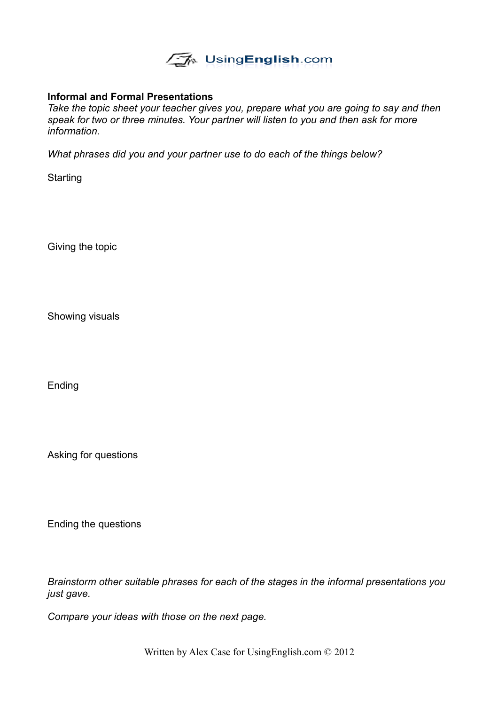

#### **Informal and Formal Presentations**

*Take the topic sheet your teacher gives you, prepare what you are going to say and then speak for two or three minutes. Your partner will listen to you and then ask for more information.*

*What phrases did you and your partner use to do each of the things below?*

**Starting** 

Giving the topic

Showing visuals

Ending

Asking for questions

Ending the questions

*Brainstorm other suitable phrases for each of the stages in the informal presentations you just gave.*

*Compare your ideas with those on the next page.*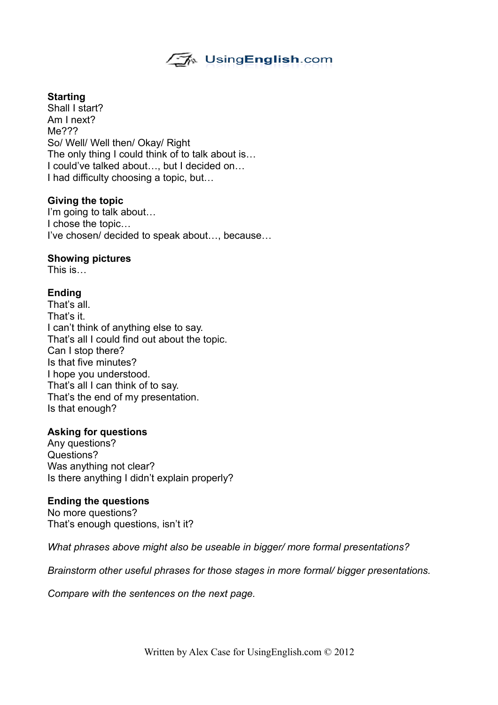

#### **Starting**

Shall I start? Am I next? Me??? So/ Well/ Well then/ Okay/ Right The only thing I could think of to talk about is… I could've talked about…, but I decided on… I had difficulty choosing a topic, but…

#### **Giving the topic**

I'm going to talk about… I chose the topic… I've chosen/ decided to speak about…, because…

#### **Showing pictures**

This is…

### **Ending**

That's all. That's it. I can't think of anything else to say. That's all I could find out about the topic. Can I stop there? Is that five minutes? I hope you understood. That's all I can think of to say. That's the end of my presentation. Is that enough?

#### **Asking for questions**

Any questions? Questions? Was anything not clear? Is there anything I didn't explain properly?

#### **Ending the questions**

No more questions? That's enough questions, isn't it?

*What phrases above might also be useable in bigger/ more formal presentations?*

*Brainstorm other useful phrases for those stages in more formal/ bigger presentations.*

*Compare with the sentences on the next page.*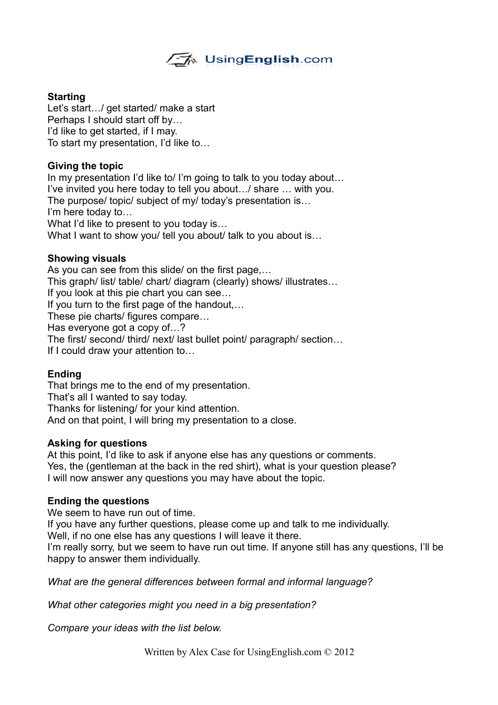

### **Starting**

Let's start.../ get started/ make a start Perhaps I should start off by… I'd like to get started, if I may. To start my presentation, I'd like to…

### **Giving the topic**

In my presentation I'd like to/ I'm going to talk to you today about... I've invited you here today to tell you about…/ share … with you. The purpose/ topic/ subject of my/ today's presentation is… I'm here today to… What I'd like to present to you today is… What I want to show you/ tell you about/ talk to you about is...

#### **Showing visuals**

As you can see from this slide/ on the first page,… This graph/ list/ table/ chart/ diagram (clearly) shows/ illustrates… If you look at this pie chart you can see… If you turn to the first page of the handout,… These pie charts/ figures compare… Has everyone got a copy of…? The first/ second/ third/ next/ last bullet point/ paragraph/ section… If I could draw your attention to…

#### **Ending**

That brings me to the end of my presentation. That's all I wanted to say today. Thanks for listening/ for your kind attention. And on that point, I will bring my presentation to a close.

#### **Asking for questions**

At this point, I'd like to ask if anyone else has any questions or comments. Yes, the (gentleman at the back in the red shirt), what is your question please? I will now answer any questions you may have about the topic.

#### **Ending the questions**

We seem to have run out of time.

If you have any further questions, please come up and talk to me individually.

Well, if no one else has any questions I will leave it there.

I'm really sorry, but we seem to have run out time. If anyone still has any questions, I'll be happy to answer them individually.

*What are the general differences between formal and informal language?*

*What other categories might you need in a big presentation?*

*Compare your ideas with the list below.*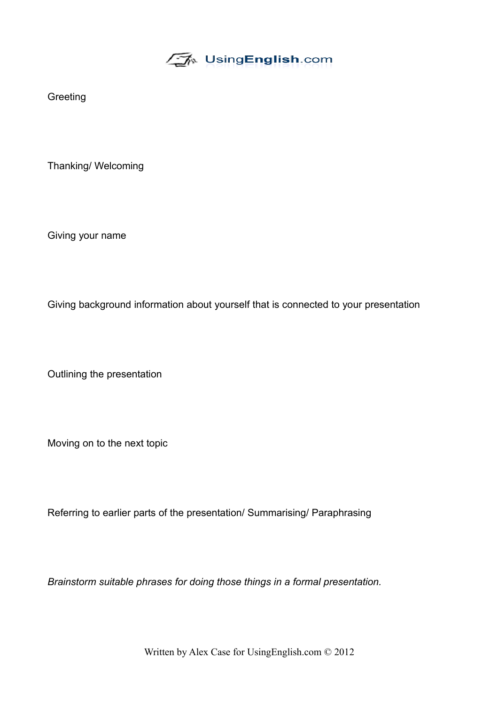√A UsingEnglish.com

**Greeting** 

Thanking/ Welcoming

Giving your name

Giving background information about yourself that is connected to your presentation

Outlining the presentation

Moving on to the next topic

Referring to earlier parts of the presentation/ Summarising/ Paraphrasing

*Brainstorm suitable phrases for doing those things in a formal presentation.*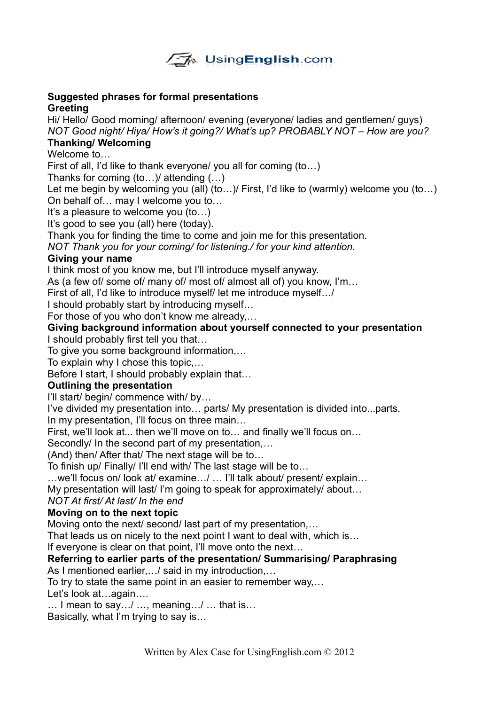

#### **Suggested phrases for formal presentations Greeting**

Hi/ Hello/ Good morning/ afternoon/ evening (everyone/ ladies and gentlemen/ guys) *NOT Good night/ Hiya/ How's it going?/ What's up? PROBABLY NOT – How are you?*

# **Thanking/ Welcoming**

Welcome to…

First of all, I'd like to thank everyone/ you all for coming (to…)

Thanks for coming (to…)/ attending (…)

Let me begin by welcoming you (all) (to...) First, I'd like to (warmly) welcome you (to...) On behalf of… may I welcome you to…

It's a pleasure to welcome you (to…)

It's good to see you (all) here (today).

Thank you for finding the time to come and join me for this presentation.

*NOT Thank you for your coming/ for listening./ for your kind attention.*

# **Giving your name**

I think most of you know me, but I'll introduce myself anyway.

As (a few of/ some of/ many of/ most of/ almost all of) you know, I'm…

First of all, I'd like to introduce myself/ let me introduce myself…/

I should probably start by introducing myself…

For those of you who don't know me already,…

# **Giving background information about yourself connected to your presentation**

I should probably first tell you that…

To give you some background information,…

To explain why I chose this topic,…

Before I start, I should probably explain that…

# **Outlining the presentation**

I'll start/ begin/ commence with/ by…

I've divided my presentation into… parts/ My presentation is divided into...parts.

In my presentation, I'll focus on three main…

First, we'll look at... then we'll move on to… and finally we'll focus on…

Secondly/ In the second part of my presentation,…

(And) then/ After that/ The next stage will be to…

To finish up/ Finally/ I'll end with/ The last stage will be to…

…we'll focus on/ look at/ examine…/ … I'll talk about/ present/ explain…

My presentation will last/ I'm going to speak for approximately/ about…

# *NOT At first/ At last/ In the end*

# **Moving on to the next topic**

Moving onto the next/ second/ last part of my presentation,…

That leads us on nicely to the next point I want to deal with, which is…

If everyone is clear on that point, I'll move onto the next…

# **Referring to earlier parts of the presentation/ Summarising/ Paraphrasing**

As I mentioned earlier,…/ said in my introduction,…

To try to state the same point in an easier to remember way,…

Let's look at…again….

… I mean to say…/ …, meaning…/ … that is…

Basically, what I'm trying to say is…